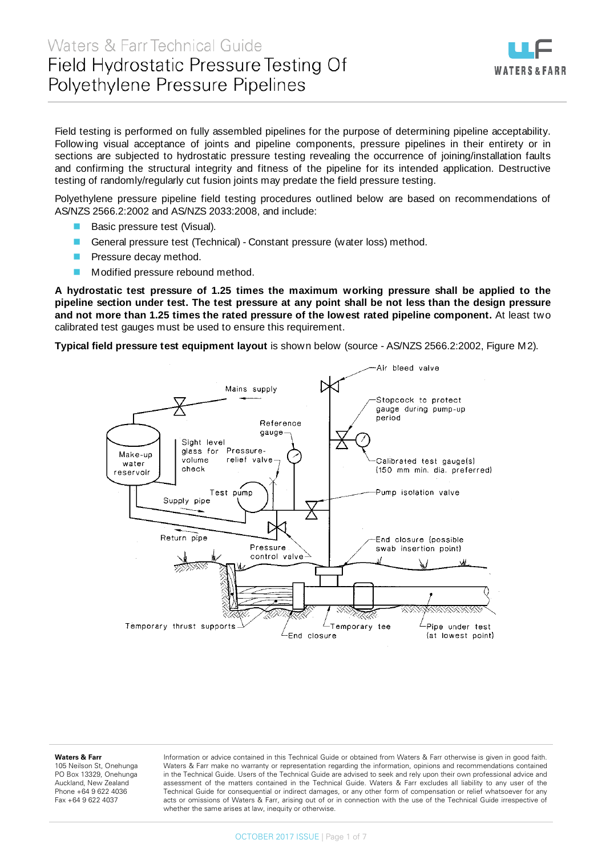

Field testing is performed on fully assembled pipelines for the purpose of determining pipeline acceptability. Following visual acceptance of joints and pipeline components, pressure pipelines in their entirety or in sections are subjected to hydrostatic pressure testing revealing the occurrence of joining/installation faults and confirming the structural integrity and fitness of the pipeline for its intended application. Destructive testing of randomly/regularly cut fusion joints may predate the field pressure testing.

Polyethylene pressure pipeline field testing procedures outlined below are based on recommendations of AS/NZS 2566.2:2002 and AS/NZS 2033:2008, and include:

- Basic pressure test (Visual).
- General pressure test (Technical) Constant pressure (water loss) method.
- Pressure decay method.
- **Modified pressure rebound method.**

**A hydrostatic test pressure of 1.25 times the maximum working pressure shall be applied to the pipeline section under test. The test pressure at any point shall be not less than the design pressure and not more than 1.25 times the rated pressure of the lowest rated pipeline component.** At least two calibrated test gauges must be used to ensure this requirement.

**Typical field pressure test equipment layout** is shown below (source - AS/NZS 2566.2:2002, Figure M2).



#### **Waters & Farr**

105 Neilson St, Onehunga PO Box 13329, Onehunga Auckland, New Zealand Phone +64 9 622 4036 Fax +64 9 622 4037

Information or advice contained in this Technical Guide or obtained from Waters & Farr otherwise is given in good faith. Waters & Farr make no warranty or representation regarding the information, opinions and recommendations contained in the Technical Guide. Users of the Technical Guide are advised to seek and rely upon their own professional advice and assessment of the matters contained in the Technical Guide. Waters & Farr excludes all liability to any user of the Technical Guide for consequential or indirect damages, or any other form of compensation or relief whatsoever for any acts or omissions of Waters & Farr, arising out of or in connection with the use of the Technical Guide irrespective of whether the same arises at law, inequity or otherwise.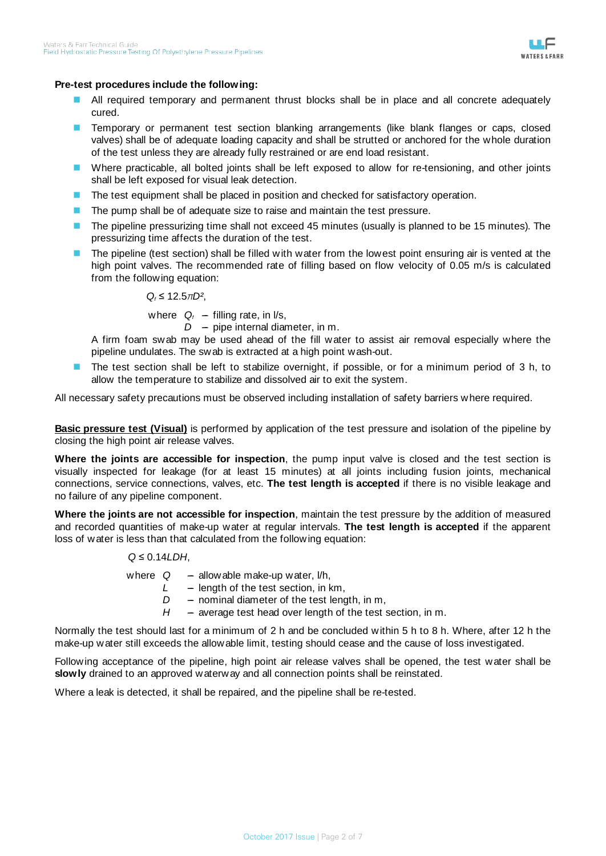

## **Pre-test procedures include the following:**

- All required temporary and permanent thrust blocks shall be in place and all concrete adequately cured.
- **Temporary or permanent test section blanking arrangements (like blank flanges or caps, closed** valves) shall be of adequate loading capacity and shall be strutted or anchored for the whole duration of the test unless they are already fully restrained or are end load resistant.
- Where practicable, all bolted joints shall be left exposed to allow for re-tensioning, and other joints shall be left exposed for visual leak detection.
- The test equipment shall be placed in position and checked for satisfactory operation.
- **The pump shall be of adequate size to raise and maintain the test pressure.**
- The pipeline pressurizing time shall not exceed 45 minutes (usually is planned to be 15 minutes). The pressurizing time affects the duration of the test.
- The pipeline (test section) shall be filled with water from the lowest point ensuring air is vented at the high point valves. The recommended rate of filling based on flow velocity of 0.05 m/s is calculated from the following equation:

*Qf* ≤ 12.5*πD²*,

where  $Q_f$  --- filling rate, in  $I/S$ ,

 $D -$  pipe internal diameter, in m.

A firm foam swab may be used ahead of the fill water to assist air removal especially where the pipeline undulates. The swab is extracted at a high point wash-out.

■ The test section shall be left to stabilize overnight, if possible, or for a minimum period of 3 h, to allow the temperature to stabilize and dissolved air to exit the system.

All necessary safety precautions must be observed including installation of safety barriers where required.

**Basic pressure test (Visual)** is performed by application of the test pressure and isolation of the pipeline by closing the high point air release valves.

**Where the joints are accessible for inspection**, the pump input valve is closed and the test section is visually inspected for leakage (for at least 15 minutes) at all joints including fusion joints, mechanical connections, service connections, valves, etc. **The test length is accepted** if there is no visible leakage and no failure of any pipeline component.

**Where the joints are not accessible for inspection**, maintain the test pressure by the addition of measured and recorded quantities of make-up water at regular intervals. **The test length is accepted** if the apparent loss of water is less than that calculated from the following equation:

## *Q* ≤ 0.14*LDH*,

where  $Q -$  allowable make-up water,  $l/h$ ,  $L -$  length of the test section, in km,  $D -$  nominal diameter of the test length, in m,  $H$  - average test head over length of the test section, in m.

Normally the test should last for a minimum of 2 h and be concluded within 5 h to 8 h. Where, after 12 h the make-up water still exceeds the allowable limit, testing should cease and the cause of loss investigated.

Following acceptance of the pipeline, high point air release valves shall be opened, the test water shall be **slowly** drained to an approved waterway and all connection points shall be reinstated.

Where a leak is detected, it shall be repaired, and the pipeline shall be re-tested.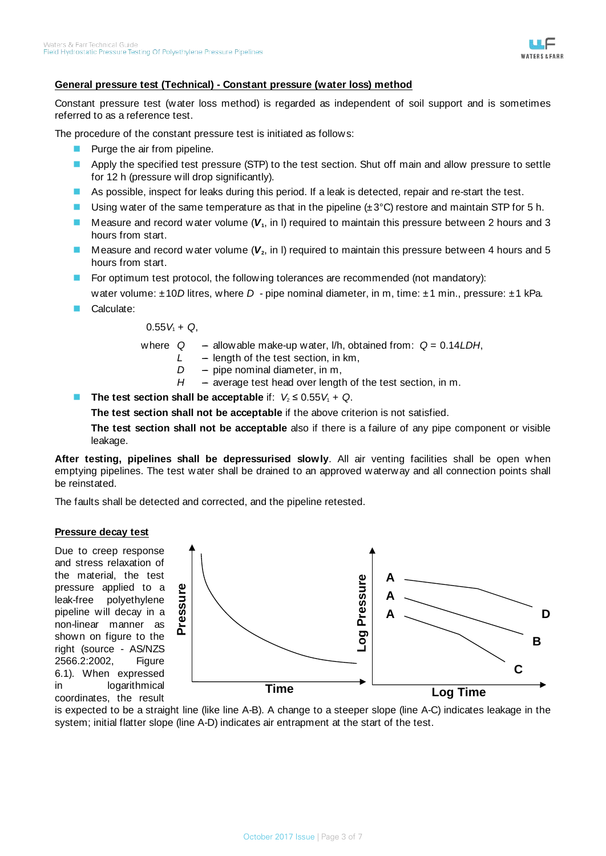

# **General pressure test (Technical) - Constant pressure (water loss) method**

Constant pressure test (water loss method) is regarded as independent of soil support and is sometimes referred to as a reference test.

The procedure of the constant pressure test is initiated as follows:

- **Purge the air from pipeline.**
- Apply the specified test pressure (STP) to the test section. Shut off main and allow pressure to settle for 12 h (pressure will drop significantly).
- As possible, inspect for leaks during this period. If a leak is detected, repair and re-start the test.
- **Using water of the same temperature as that in the pipeline**  $(\pm 3^{\circ}C)$  **restore and maintain STP for 5 h.**
- Measure and record water volume  $(V_1, \text{ in } I)$  required to maintain this pressure between 2 hours and 3 hours from start.
- **Measure and record water volume (** $V_2$ **, in I) required to maintain this pressure between 4 hours and 5** hours from start.
- **For optimum test protocol, the following tolerances are recommended (not mandatory):**

water volume: ±10*D* litres, where *D* - pipe nominal diameter, in m, time: ±1 min., pressure: ±1 kPa.

Calculate:

 $0.55V_1 + Q$ ,

where  $Q -$  allowable make-up water, I/h, obtained from:  $Q = 0.14LDH$ ,

- *L* -- length of the test section, in km,
- $D -$  pipe nominal diameter, in m,
- *H* average test head over length of the test section, in m.
- **The test section shall be acceptable** if:  $V_2 \le 0.55V_1 + Q$ .

**The test section shall not be acceptable** if the above criterion is not satisfied.

**The test section shall not be acceptable** also if there is a failure of any pipe component or visible leakage.

**After testing, pipelines shall be depressurised slowly**. All air venting facilities shall be open when emptying pipelines. The test water shall be drained to an approved waterway and all connection points shall be reinstated.

The faults shall be detected and corrected, and the pipeline retested.

## **Pressure decay test**

Due to creep response and stress relaxation of the material, the test pressure applied to a leak-free polyethylene pipeline will decay in a non-linear manner as shown on figure to the right (source - AS/NZS 2566.2:2002, Figure 6.1). When expressed in logarithmical coordinates, the result



is expected to be a straight line (like line A-B). A change to a steeper slope (line A-C) indicates leakage in the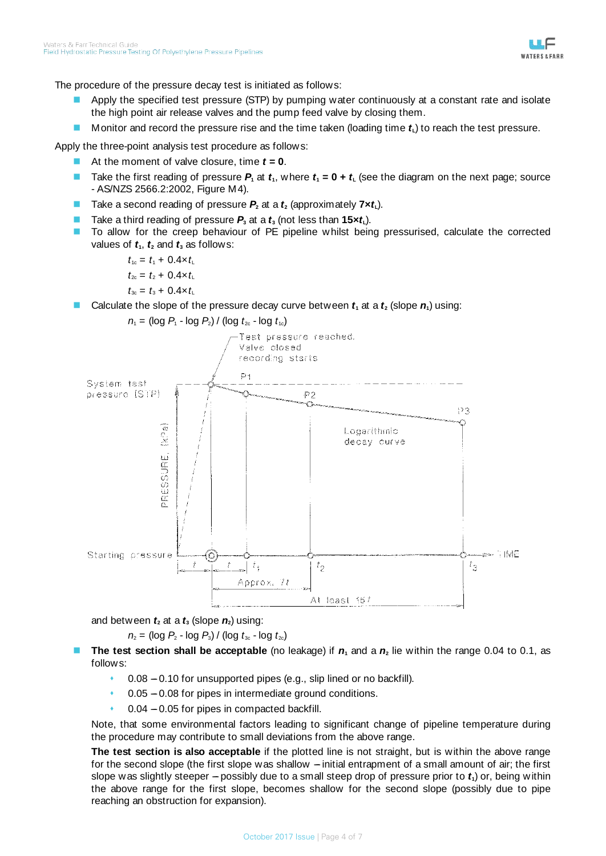

The procedure of the pressure decay test is initiated as follows:

- Apply the specified test pressure (STP) by pumping water continuously at a constant rate and isolate the high point air release valves and the pump feed valve by closing them.
- **Monitor and record the pressure rise and the time taken (loading time**  $t<sub>L</sub>$ **) to reach the test pressure.**

Apply the three-point analysis test procedure as follows:

- At the moment of valve closure, time *t* **= 0**.
- Take the first reading of pressure  $P_1$  at  $t_1$ , where  $t_1 = 0 + t_1$  (see the diagram on the next page; source - AS/NZS 2566.2:2002, Figure M4).
- Take a second reading of pressure  $P_2$  at a  $t_2$  (approximately  $7 \times t_1$ ).
- Take a third reading of pressure  $P_3$  at a  $t_3$  (not less than  $15 \times t_1$ ).
- To allow for the creep behaviour of PE pipeline whilst being pressurised, calculate the corrected values of  $t_1$ ,  $t_2$  and  $t_3$  as follows:

 $t_{1c} = t_1 + 0.4 \times t_L$  $t_{2c} = t_2 + 0.4 \times t_1$  $t_{3c} = t_3 + 0.4 \times t_1$ 

Calculate the slope of the pressure decay curve between  $t_1$  at a  $t_2$  (slope  $n_1$ ) using:



and between  $t_2$  at a  $t_3$  (slope  $n_2$ ) using:

 $n_2$  = (log  $P_2$  - log  $P_3$ ) / (log  $t_{3c}$  - log  $t_{2c}$ )

- **The test section shall be acceptable** (no leakage) if  $n_1$  and a  $n_2$  lie within the range 0.04 to 0.1, as follows:
	- $0.08 0.10$  for unsupported pipes (e.g., slip lined or no backfill).
	- $0.05 0.08$  for pipes in intermediate ground conditions.
	- $0.04 0.05$  for pipes in compacted backfill.

Note, that some environmental factors leading to significant change of pipeline temperature during the procedure may contribute to small deviations from the above range.

**The test section is also acceptable** if the plotted line is not straight, but is within the above range for the second slope (the first slope was shallow  $-$  initial entrapment of a small amount of air; the first slope was slightly steeper  $-$  possibly due to a small steep drop of pressure prior to  $t_1$ ) or, being within the above range for the first slope, becomes shallow for the second slope (possibly due to pipe reaching an obstruction for expansion).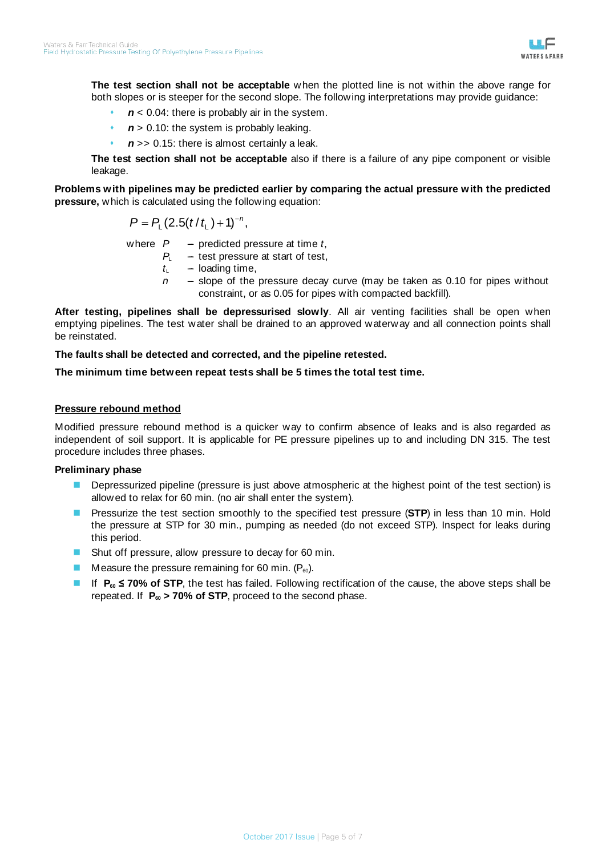

**The test section shall not be acceptable** when the plotted line is not within the above range for both slopes or is steeper for the second slope. The following interpretations may provide guidance:

- *n* < 0.04: there is probably air in the system.
- *n* > 0.10: the system is probably leaking.
- *n* >> 0.15: there is almost certainly a leak.

**The test section shall not be acceptable** also if there is a failure of any pipe component or visible leakage.

**Problems with pipelines may be predicted earlier by comparing the actual pressure with the predicted pressure,** which is calculated using the following equation:

$$
P = P_{L}(2.5(t/t_{L})+1)^{-n},
$$

where  $P -$  predicted pressure at time  $t$ ,

- *PL* test pressure at start of test,
- $t_{\text{L}}$  loading time,
- *n* slope of the pressure decay curve (may be taken as 0.10 for pipes without constraint, or as 0.05 for pipes with compacted backfill).

**After testing, pipelines shall be depressurised slowly**. All air venting facilities shall be open when emptying pipelines. The test water shall be drained to an approved waterway and all connection points shall be reinstated.

**The faults shall be detected and corrected, and the pipeline retested.**

## **The minimum time between repeat tests shall be 5 times the total test time.**

## **Pressure rebound method**

Modified pressure rebound method is a quicker way to confirm absence of leaks and is also regarded as independent of soil support. It is applicable for PE pressure pipelines up to and including DN 315. The test procedure includes three phases.

## **Preliminary phase**

- Depressurized pipeline (pressure is just above atmospheric at the highest point of the test section) is allowed to relax for 60 min. (no air shall enter the system).
- Pressurize the test section smoothly to the specified test pressure (**STP**) in less than 10 min. Hold the pressure at STP for 30 min., pumping as needed (do not exceed STP). Inspect for leaks during this period.
- **Shut off pressure, allow pressure to decay for 60 min.**
- **Measure the pressure remaining for 60 min.**  $(P_{60})$ .
- If **P60 ≤ 70% of STP**, the test has failed. Following rectification of the cause, the above steps shall be repeated. If  $P_{60}$  > 70% of STP, proceed to the second phase.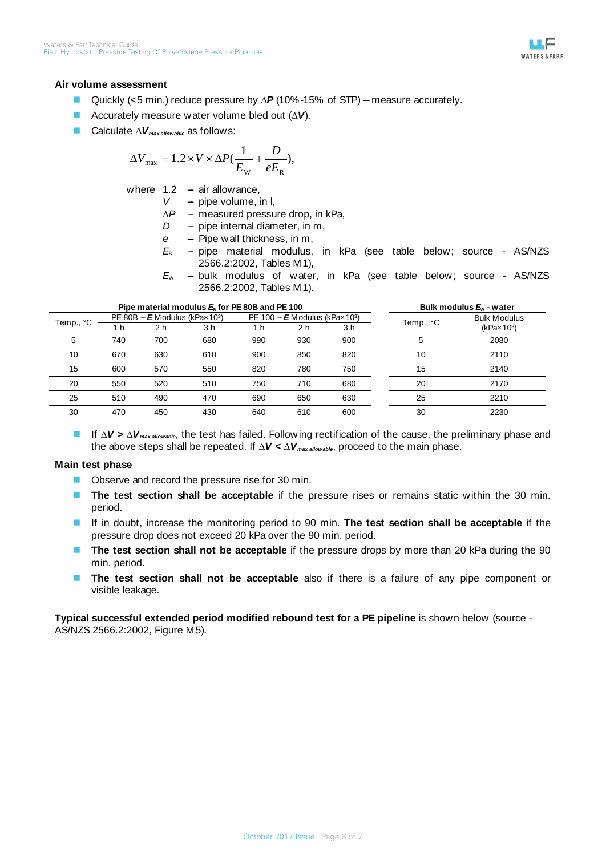

#### **Air volume assessment**

- Quickly (<5 min.) reduce pressure by  $\Delta$ **P** (10%-15% of STP) measure accurately.
- Accurately measure water volume bled out (*∆V*).
- Calculate *∆Vmax allowable* as follows:

$$
\Delta V_{\text{max}} = 1.2 \times V \times \Delta P (\frac{1}{E_{\text{w}}} + \frac{D}{eE_{\text{R}}}),
$$

where  $1.2 - air$  allowance,

 $V -$  pipe volume, in I,

- $\Delta P$  measured pressure drop, in kPa,
- *D* pipe internal diameter, in m,
- *e* Pipe wall thickness, in m,
- $E<sub>R</sub>$  pipe material modulus, in kPa (see table below; source AS/NZS 2566.2:2002, Tables M1),
- $E_W$  bulk modulus of water, in kPa (see table below; source AS/NZS 2566.2:2002, Tables M1).

| Pipe material modulus $E_8$ for PE 80B and PE 100 |                                              |     |     |                                              |     |     | Bulk modulus $E_{v}$ - water |                            |
|---------------------------------------------------|----------------------------------------------|-----|-----|----------------------------------------------|-----|-----|------------------------------|----------------------------|
| Temp., °C                                         | PE 80B - $E$ Modulus (kPax 10 <sup>3</sup> ) |     |     | PE 100 - $E$ Modulus (kPax 10 <sup>3</sup> ) |     |     | Temp., °C                    | <b>Bulk Modulus</b>        |
|                                                   | 1 h                                          | 2 h | 3 h | 1 h                                          | 2 h | 3 h |                              | $(k$ Pax 10 <sup>3</sup> ) |
| 5                                                 | 740                                          | 700 | 680 | 990                                          | 930 | 900 | 5                            | 2080                       |
| 10                                                | 670                                          | 630 | 610 | 900                                          | 850 | 820 | 10                           | 2110                       |
| 15                                                | 600                                          | 570 | 550 | 820                                          | 780 | 750 | 15                           | 2140                       |
| 20                                                | 550                                          | 520 | 510 | 750                                          | 710 | 680 | 20                           | 2170                       |
| 25                                                | 510                                          | 490 | 470 | 690                                          | 650 | 630 | 25                           | 2210                       |
| 30                                                | 470                                          | 450 | 430 | 640                                          | 610 | 600 | 30                           | 2230                       |

 If *∆V* **>** *∆Vmax allowable*, the test has failed. Following rectification of the cause, the preliminary phase and the above steps shall be repeated. If *∆V* **<** *∆Vmax allowable*, proceed to the main phase.

#### **Main test phase**

- **DECODE CODE:** Observe and record the pressure rise for 30 min.
- **The test section shall be acceptable** if the pressure rises or remains static within the 30 min. period.
- If in doubt, increase the monitoring period to 90 min. **The test section shall be acceptable** if the pressure drop does not exceed 20 kPa over the 90 min. period.
- **The test section shall not be acceptable** if the pressure drops by more than 20 kPa during the 90 min. period.
- **The test section shall not be acceptable** also if there is a failure of any pipe component or visible leakage.

**Typical successful extended period modified rebound test for a PE pipeline** is shown below (source - AS/NZS 2566.2:2002, Figure M5).